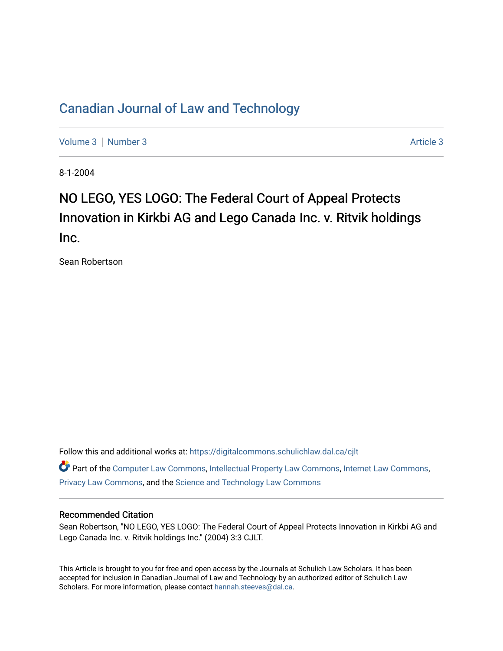### [Canadian Journal of Law and Technology](https://digitalcommons.schulichlaw.dal.ca/cjlt)

[Volume 3](https://digitalcommons.schulichlaw.dal.ca/cjlt/vol3) | [Number 3](https://digitalcommons.schulichlaw.dal.ca/cjlt/vol3/iss3) Article 3

8-1-2004

# NO LEGO, YES LOGO: The Federal Court of Appeal Protects Innovation in Kirkbi AG and Lego Canada Inc. v. Ritvik holdings Inc.

Sean Robertson

Follow this and additional works at: [https://digitalcommons.schulichlaw.dal.ca/cjlt](https://digitalcommons.schulichlaw.dal.ca/cjlt?utm_source=digitalcommons.schulichlaw.dal.ca%2Fcjlt%2Fvol3%2Fiss3%2F3&utm_medium=PDF&utm_campaign=PDFCoverPages) 

Part of the [Computer Law Commons,](http://network.bepress.com/hgg/discipline/837?utm_source=digitalcommons.schulichlaw.dal.ca%2Fcjlt%2Fvol3%2Fiss3%2F3&utm_medium=PDF&utm_campaign=PDFCoverPages) [Intellectual Property Law Commons,](http://network.bepress.com/hgg/discipline/896?utm_source=digitalcommons.schulichlaw.dal.ca%2Fcjlt%2Fvol3%2Fiss3%2F3&utm_medium=PDF&utm_campaign=PDFCoverPages) [Internet Law Commons,](http://network.bepress.com/hgg/discipline/892?utm_source=digitalcommons.schulichlaw.dal.ca%2Fcjlt%2Fvol3%2Fiss3%2F3&utm_medium=PDF&utm_campaign=PDFCoverPages) [Privacy Law Commons,](http://network.bepress.com/hgg/discipline/1234?utm_source=digitalcommons.schulichlaw.dal.ca%2Fcjlt%2Fvol3%2Fiss3%2F3&utm_medium=PDF&utm_campaign=PDFCoverPages) and the [Science and Technology Law Commons](http://network.bepress.com/hgg/discipline/875?utm_source=digitalcommons.schulichlaw.dal.ca%2Fcjlt%2Fvol3%2Fiss3%2F3&utm_medium=PDF&utm_campaign=PDFCoverPages) 

### Recommended Citation

Sean Robertson, "NO LEGO, YES LOGO: The Federal Court of Appeal Protects Innovation in Kirkbi AG and Lego Canada Inc. v. Ritvik holdings Inc." (2004) 3:3 CJLT.

This Article is brought to you for free and open access by the Journals at Schulich Law Scholars. It has been accepted for inclusion in Canadian Journal of Law and Technology by an authorized editor of Schulich Law Scholars. For more information, please contact [hannah.steeves@dal.ca](mailto:hannah.steeves@dal.ca).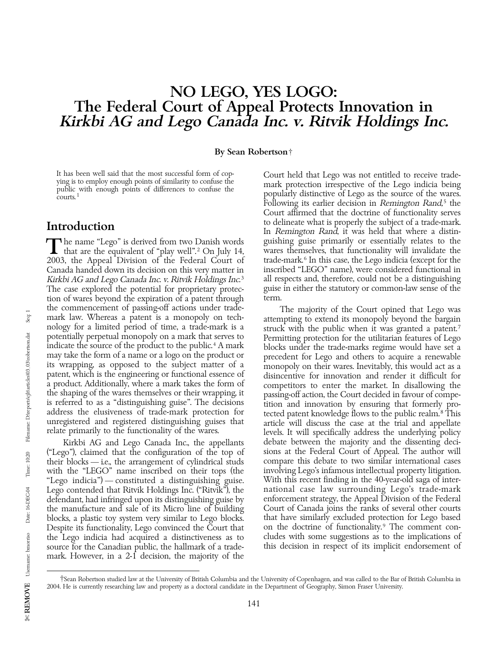## NO LEGO, YES LOGO: The Federal Court of Appeal Protects Innovation in Kirkbi AG and Lego Canada Inc. v. Ritvik Holdings Inc.

By Sean Robertson†

2003, the Appeal Division of the Federal Court of trade-mark.<sup>6</sup> In this case, the Lego indicia (except for the Canada handed down its decision on this very matter in inscribed "LEGO" name), were considered functional in Canada handed down its decision on this very matter in inscribed "LEGO" name), were considered functional in Kirkbi AG and Lego Canada Inc. v. Ritvik Holdings Inc.<sup>3</sup> all respects and, therefore, could not be a distinguish Kirkbi AG and Lego Canada Inc. v. Ritvik Holdings Inc.<sup>3</sup> all respects and, therefore, could not be a distinguishing<br>The case explored the potential for proprietary protec- guise in either the statutory or common-law sense The case explored the potential for proprietary protec-<br>tion of wares beyond the expiration of a patent through term. tion of wares beyond the expiration of a patent through the commencement of passing-off actions under tradethe commencement of passing-off actions under trade-<br>mark law. Whereas a patent is a monopoly on tech-<br>nology for a limited period of time, a trade-mark is a<br>potentially perpetual monopoly on a mark that serves to<br>Permitti potentially perpetual monopoly on a mark that serves to<br>indicate the source of the product to the public.<sup>4</sup> A mark<br>may take the form of a name or a logo on the product or<br>its wrapping, as opposed to the subject matter of a product. Additionally, where a mark takes the form of competitors to enter the market. In disallowing the the shaping of the wares themselves or their wrapping, it is referred to as a "distinguishing guise". The decision

(''Lego''), claimed that the configuration of the top of sions at the Federal Court of Appeal. The author will their blocks — i.e., the arrangement of cylindrical studs compare this debate to two similar international cases<br>with the "LEGO" name inscribed on their tops (the involving Lego's infamous intellectual property litigation. with the "LEGO" name inscribed on their tops (the involving Lego's infamous intellectual property litigation.<br>"Lego indicia") — constituted a distinguishing guise. With this recent finding in the 40-year-old saga of inter-''Lego indicia'') — constituted a distinguishing guise. With this recent finding in the 40-year-old saga of inter-Lego contended that Ritvik Holdings Inc. ("Ritvik"), the hational case law surrounding Lego's trade-mark<br>defendant, had infringed upon its distinguishing guise by here enforcement strategy, the Appeal Division of the Feder defendant, had infringed upon its distinguishing guise by enforcement strategy, the Appeal Division of the Federal the manufacture and sale of its Micro line of building Court of Canada joins the ranks of several other courts<br>blocks, a plastic toy system very similar to Lego blocks. In that have similarly excluded protection for Lego b blocks, a plastic toy system very similar to Lego blocks. that have similarly excluded protection for Lego based<br>Despite its functionality, Lego convinced the Court that on the doctrine of functionality.<sup>9</sup> The comment con Despite its functionality, Lego convinced the Court that on the doctrine of functionality.<sup>9</sup> The comment con-<br>the Lego indicia had acquired a distinctiveness as to cludes with some suggestions as to the implications of the Lego indicia had acquired a distinctiveness as to cludes with some suggestions as to the implications of source for the Canadian public, the hallmark of a trade-<br>this decision in respect of its implicit endorsement of source for the Canadian public, the hallmark of a trademark. However, in a 2-1 decision, the majority of the

It has been well said that the most successful form of cop-<br>ying is to employ enough points of similarity to confuse the<br>public with enough points of differences to confuse the<br>courts.<sup>1</sup> popularly distinctive of Lego as t Following its earlier decision in Remington Rand, $5$  the Court affirmed that the doctrine of functionality serves **Introduction** to delineate what is properly the subject of a trade-mark.<br>In Remington Rand, it was held that where a distin-The name "Lego" is derived from two Danish words guishing guise primarily or essentially relates to the that are the equivalent of "play well".<sup>2</sup> On July 14, wares themselves, that functionality will invalidate the Teo 20

relate primarily to the functionality of the wares. levels. It will specifically address the underlying policy Kirkbi AG and Lego Canada Inc., the appellants debate between the majority and the dissenting deci-<br>go"), claimed that the configuration of the top of sions at the Federal Court of Appeal. The author will

<sup>†</sup>Sean Robertson studied law at the University of British Columbia and the University of Copenhagen, and was called to the Bar of British Columbia in 2004. He is currently researching law and property as a doctoral candidate in the Department of Geography, Simon Fraser University.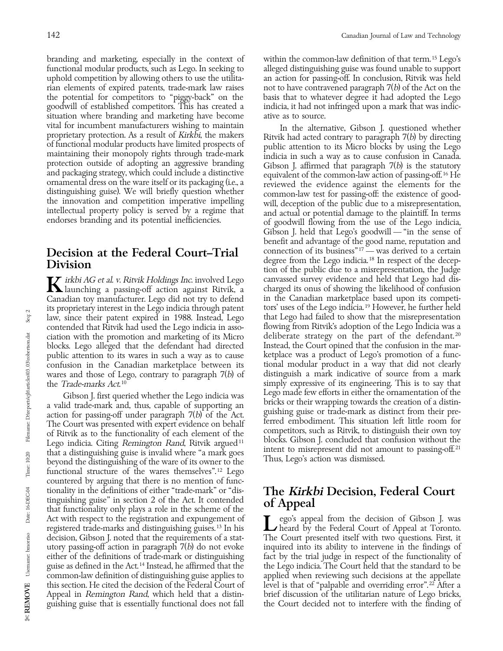branding and marketing, especially in the context of within the common-law definition of that term.<sup>15</sup> Lego's functional modular products, such as Lego. In seeking to alleged distinguishing guise was found unable to suppo functional modular products, such as Lego. In seeking to alleged distinguishing guise was found unable to support uphold competition by allowing others to use the utilita- an action for passing-off. In conclusion, Ritvik w uphold competition by allowing others to use the utilita- an action for passing-off. In conclusion, Ritvik was held<br>rian elements of expired patents, trade-mark law raises not to have contravened paragraph  $7(b)$  of the Ac rian elements of expired patents, trade-mark law raises the potential for competitors to "piggy-back" on the goodwill of established competitors. This has created a indicia, it had not infringed upon a mark that was indicsituation where branding and marketing have become ative as to source.<br>vital for incumbent manufacturers wishing to maintain In the alternative

Canadian toy manufacturer. Lego did not try to defend in the Canadian marketplace based upon its competi-<br>its proprietary interest in the Lego indicia through patent tors' uses of the Lego indicia.<sup>19</sup> However, he further its proprietary interest in the Lego indicia through patent tors' uses of the Lego indicia.<sup>19</sup> However, he further held<br>law, since their patent expired in 1988. Instead, Lego that Lego had failed to show that the misrepre law, since their patent expired in 1988. Instead, Lego that Lego had failed to show that the misrepresentation<br>contended that Ritvik had used the Lego indicia in asso- flowing from Ritvik's adoption of the Lego Indicia was contended that Ritvik had used the Lego indicia in asso-<br>ciation with the promotion and marketing of its Micro and deliberate strategy on the part of the defendant.<sup>20</sup> ciation with the promotion and marketing of its Micro deliberate strategy on the part of the defendant.<sup>20</sup> chocks. Lego alleged that the defendant had directed listead, the Court opined that the confusion in the marblocks. Lego alleged that the defendant had directed Instead, the Court opined that the confusion in the mar-<br>public attention to its wares in such a way as to cause ketplace was a product of Lego's promotion of a funcpublic attention to its wares in such a way as to cause between ketplace was a product of Lego's promotion of a func-<br>confusion in the Canadian marketplace between its tional modular product in a way that did not clearly confusion in the Canadian marketplace between its tional modular product in a way that did not clearly wares and those of Lego, contrary to paragraph  $7(b)$  of distinguish a mark indicative of source from a mark wares and those of Lego, contrary to paragraph  $7(b)$  of the *Trade-marks Act*.<sup>10</sup>

Lego indicia. Citing Remington Rand, Ritvik argued<sup>11</sup> that a distinguishing guise is invalid where "a mark goes intent to misrepresent did not amount to passing-off.<sup>21</sup> beyond the distinguishing of the ware of its owner functional structure of the wares themselves".<sup>12</sup> Lego countered by arguing that there is no mention of func-<br>tionality in the definitions of either "trade-mark" or "distionality in the definitions of either "trade-mark" or "dis-<br>tinguishing guise" in section 2 of the Act. It contended **of Appeal**<br>**of Appeal** Act with respect to the registration and expungement of Gibson (Equipment of registered trade-marks and distinguishing guises.<sup>13</sup> In his registered trade-marks and distinguishing guises.<sup>13</sup> In his decision, Gibson J. not utory passing-off action in paragraph 7(b) do not evoke inquired into its ability to intervene in the findings of guise as defined in the Act.<sup>14</sup> Instead, he affirmed that the the Lego indicia. The Court held that the standard to be common-law definition of distinguishing guise applies to applied when reviewing such decisions at the common-law definition of distinguishing guise applies to this section. He cited the decision of the Federal Court of level is that of "palpable and overriding error".<sup>22</sup> After a guishing guise that is essentially functional does not fall

basis that to whatever degree it had adopted the Lego

wital for incumbent manufacturers wishing to maintain<br>proprietary protection. As a result of Kirkbi, the makers<br>of functional modular products have limited prospects of<br>maintaining their monopoly rights through trade-mark<br> Gibson J. held that Lego's goodwill — ''in the sense of benefit and advantage of the good name, reputation and connection of its business"<sup>17</sup> — was derived to a certain **Decision at the Federal Court-Trial** connection of its business<sup>"17</sup> — was derived to a certain degree from the Lego indicia.<sup>18</sup> In respect of the deception of the public due to a misrepresentation, the Judge Interpret and held that Lego had dis-<br>Launching a passing-off action against Ritvik, a charged its onus of showing the likelihood of confusion<br>Canadian toy manufacturer. Lego did not try to defend in the Canadian marketpla simply expressive of its engineering. This is to say that Lego made few efforts in either the ornamentation of the Gibson J. first queried whether the Lego indicia was<br>a valid trade-mark and, thus, capable of supporting an<br>action for passing-off under paragraph 7(b) of the Act.<br>The Court was presented with expert evidence on behalf<br>of

either of the definitions of trade-mark or distinguishing fact by the trial judge in respect of the functionality of Appeal in *Remington Rand*, which held that a distin-<br>guishing guise that is essentially functional does not fall the Court decided not to interfere with the finding of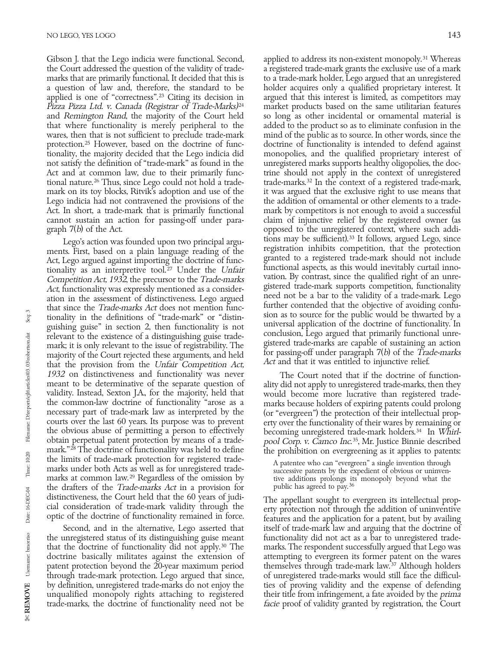Gibson J. that the Lego indicia were functional. Second, applied to address its non-existent monopoly.<sup>31</sup> Whereas the Court addressed the question of the validity of trade-<br>a registered trade-mark grants the exclusive use the Court addressed the question of the validity of trademarks that are primarily functional. It decided that this is to a trade-mark holder, Lego argued that an unregistered<br>a question of law and, therefore, the standard to be holder acquires only a qualified proprietary intere a question of law and, therefore, the standard to be applied is one of "correctness".<sup>23</sup> Citing its decision in Pizza Pizza Ltd. v. Canada (Registrar of Trade-Marks)<sup>24</sup> market products based on the same utilitarian features and Remington Rand, the majority of the Court held so long as other incidental or ornamental material is and Remington Rand, the majority of the Court held so long as other incidental or ornamental material is that where functionality is merely peripheral to the added to the product so as to eliminate confusion in the that where functionality is merely peripheral to the wares, then that is not sufficient to preclude trade-mark protection. 25 However, based on the doctrine of func- doctrine of functionality is intended to defend against tionality, the majority decided that the Lego indicia did monopolies, and the qualified proprietary interest of not satisfy the definition of "trade-mark" as found in the unregistered marks supports healthy oligopolies, th Act and at common law, due to their primarily func-<br>trine should not apply in the context of unregistered<br>tional nature.<sup>26</sup> Thus, since Lego could not hold a trade-<br>trade-marks.<sup>32</sup> In the context of a registered trade-ma tional nature.<sup>26</sup> Thus, since Lego could not hold a trade- trade-marks.<sup>32</sup> In the context of a registered trade-mark, mark on its toy blocks, Ritvik's adoption and use of the it was argued that the exclusive right to use mark on its toy blocks, Ritvik's adoption and use of the it was argued that the exclusive right to use means that Lego indicia had not contravened the provisions of the ideal this addition of ornamental or other elements t Lego indicia had not contravened the provisions of the Act. In short, a trade-mark that is primarily functional cannot sustain an action for passing-off under para-

ments. First, based on a plain language reading of the registration inhibits competition, that the protection<br>Act Lego argued against importing the doctrine of function granted to a registered trade-mark should not include Act, Lego argued against importing the doctrine of func-<br>tionality as an interpretive tool.<sup>27</sup> Under the Unfair<br>Competition Act, 1932, the precursor to the Trade-marks<br>vation. By contrast, since the qualified right of an Competition Act, 1932, the precursor to the *Trade-marks* vation. By contrast, since the qualified right of an unre-<br>Act, functionality was expressly mentioned as a consider-<br>ation in the assessment of distinctiveness. Leg relevant to the existence of a distinguishing guise trade-<br>mark; it is only relevant to the issue of registrability. The gistered trade-marks are capable of sustaining an action<br>majority of the Court rejected these argumen majority of the Court rejected these arguments, and held for passing-off under paragraph  $\ell(\nu)$  of the Trade-marks that the provision from the Unfair Connectition Act Act and that it was entitled to injunctive relief. that the provision from the Unfair Competition Act, 1932 on distinctiveness and functionality was never<br>meant to be determinative of the separate question of ality did not apply to unregistered trade-marks, then they meant to be determinative of the separate question of ality did not apply to unregistered trade-marks, then they<br>validity. Instead, Sexton J.A., for the majority, held that would become more lucrative than registered trade the common-law doctrine of functionality "arose as a<br>necessary part of trade-mark law as interpreted by the<br>courts over the last 60 years. Its purpose was to prevent<br>the obvious abuse of permitting a person to effectively<br> the obvious abuse of permitting a person to effectively becoming unregistered trade-mark holders.<sup>34</sup> In Whirl-<br>obtain perpetual patent protection by means of a trade-<br>pool Corp. v. Camco Inc.<sup>35</sup>, Mr. Justice Binnie descr mark." $^{28}$  The doctrine of functionality was held to define<br>the prohibition on evergreening as it applies to patents:<br>the limits of trade-mark protection for registered trade-<br>marks under both Acts as well as for unregi marks at common law.<sup>29</sup> Regardless of the omission by the drafters of the Trade-marks Act in a provision for

the unregistered status of its distinguishing guise meant functionality did not act as a bar to unregistered tradethat the doctrine of functionality did not apply. 30 The marks. The respondent successfully argued that Lego was doctrine basically militates against the extension of attempting to evergreen its former patent on the wares patent protection beyond the 20-year maximum period themselves through trade-mark law.<sup>37</sup> Although holders through trade-mark protection. Lego argued that since, of unregistered trade-marks would still face the difficulthrough trade-mark protection. Lego argued that since, by definition, unregistered trade-marks do not enjoy the ties of proving validity and the expense of defending unqualified monopoly rights attaching to registered their title from infringement, a fate avoided by the *prima*<br>trade-marks, the doctrine of functionality need not be *facie* proof of validity granted by registration, the trade-marks, the doctrine of functionality need not be

argued that this interest is limited, as competitors may mind of the public as to source. In other words, since the unregistered marks supports healthy oligopolies, the doctrine should not apply in the context of unregistered mark by competitors is not enough to avoid a successful claim of injunctive relief by the registered owner (as graph  $7(b)$  of the Act.<br>Lego's action was founded upon two principal argu-<br>lego's action was founded upon two principal argu-<br>legon may be sufficient).<sup>33</sup> It follows, argued Lego, since Lego's action was founded upon two principal argu-<br>the Lego's action inhibits competition, that the protection<br>ts. First, based on a plain language reading of the registration inhibits competition, that the protection

distinctiveness, the Court held that the 60 years of judi-<br>cial consideration of trade-mark validity through the<br>optic of the doctrine of functionality remained in force.<br>features and the application for a patent, but by a Second, and in the alternative, Lego asserted that itself of trade-mark law and arguing that the doctrine of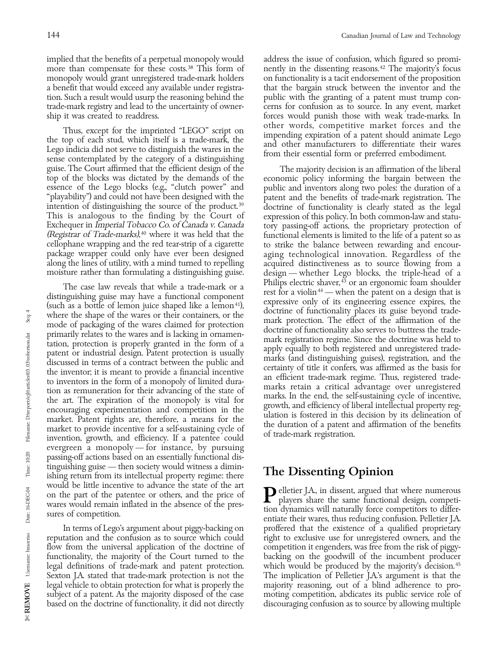implied that the benefits of a perpetual monopoly would<br>more than compensate for these costs.<sup>38</sup> This form of nently in the dissenting reasons.<sup>42</sup> The majority's focus more than compensate for these costs.<sup>38</sup> This form of monopoly would grant unregistered trade-mark holders on functionality is a tacit endorsement of the proposition<br>a benefit that would exceed any available under registra-<br>that the bargain struck between the inventor and the a benefit that would exceed any available under registra-<br>that the bargain struck between the inventor and the<br>ion. Such a result would usurp the reasoning behind the<br>public with the granting of a patent must trump contion. Such a result would usurp the reasoning behind the trade-mark registry and lead to the uncertainty of owner-<br>ship it was created to readdress. In the uncertainty of owner-<br>forces would punish those with weak trade-marks. In

Thus, except for the imprinted "LEGO" script on<br>the top of each stud, which itself is a trade-mark, the<br>Lego indicia did not serve to distinguish the wares in the<br>sense contemplated by the category of a distinguishing<br>sens guise. The Court affirmed that the efficient design of the The majority decision is an affirmation of the liberal<br>top of the blocks was dictated by the demands of the economic policy informing the bargain between the essence of the Lego blocks (e.g., "clutch power" and public and inventors along two poles: the duration of a "playability") and could not have been designed with the patent and the benefits of trade-mark registration. The "playability") and could not have been designed with the patent and the benefits of trade-mark registration. The intention of distinguishing the source of the product.<sup>39</sup> doctrine of functionality is clearly stated as the intention of distinguishing the source of the product.<sup>39</sup> doctrine of functionality is clearly stated as the legal<br>This is analogous to the finding by the Court of expression of this policy. In both common-law and statu-This is analogous to the finding by the Court of expression of this policy. In both common-law and statu-<br>Exchequer in Imperial Tobacco Co. of Canada v. Canada tory passing-off actions, the proprietary protection of (Registrar of Trade-marks),<sup>40</sup> where it was held that the cellophane wrapping and the red tear-strip of a cigarette cellophane wrapping and the red tear-strip of a cigarette to strike the balance between rewarding and encour-<br>package wrapper could only have ever been designed aging technological innovation. Regardless of the package wrapper could only have ever been designed aging technological innovation. Regardless of the along the lines of utility, with a mind turned to repelling acquired distinctiveness as to source flowing from a<br>moisture rather than formulating a distinguishing guise. design — whether Lego blocks, the triple-head of a

The case law reveals that while a trade-mark or a<br>
limitips electric share,<sup>43</sup> or an ergonomic toam shoulder<br>
distinguishing guise may have a functional component<br>
(such as a bottle of lemon juice shaped like a lemon<sup>41</sup> evergreen a monopoly — for instance, by pursuing passing-off actions based on an essentially functional distinguishing guise — then society would witness a dimin-<br>ishing return from its intellectual property regime: there **The Dissenting Opinion** would be little incentive to advance the state of the art<br>on the part of the patentee or others, and the price of<br>wares would remain inflated in the absence of the pres-<br>sures of competition.<br>entiate their wares, thus redu

Sexton J.A. stated that trade-mark protection is not the legal vehicle to obtain protection for what is properly the majority reasoning, out of a blind adherence to probased on the doctrine of functionality, it did not directly

forces would punish those with weak trade-marks. In other words, competitive market forces and the

economic policy informing the bargain between the tory passing-off actions, the proprietary protection of functional elements is limited to the life of a patent so as design — whether Lego blocks, the triple-head of a Philips electric shaver,<sup>43</sup> or an ergonomic foam shoulder

In terms of Lego's argument about piggy-backing on proffered that the existence of a qualified proprietary reputation and the confusion as to source which could right to exclusive use for unregistered owners, and the flow from the universal application of the doctrine of competition it engenders, was free from the risk of piggyfunctionality, the majority of the Court turned to the backing on the goodwill of the incumbent producer legal definitions of trade-mark and patent protection. which would be produced by the majority's decision.<sup>45</sup><br>Sexton J.A. stated that trade-mark protection is not the The implication of Pelletier J.A's argument is that th subject of a patent. As the majority disposed of the case moting competition, abdicates its public service role of based on the doctrine of functionality, it did not directly discouraging confusion as to source by allowing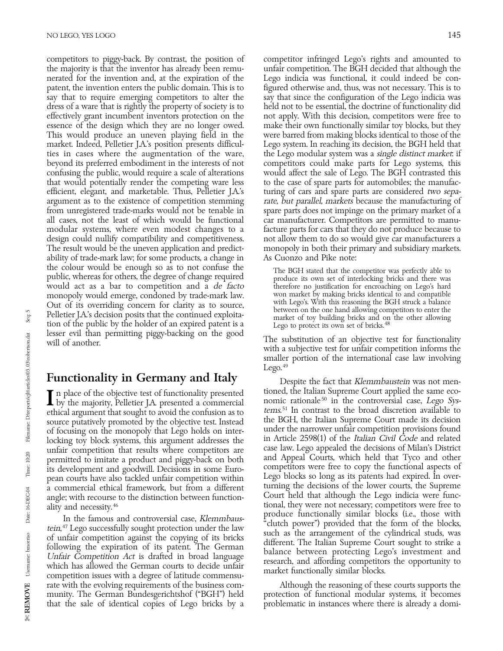competitors to piggy-back. By contrast, the position of competitor infringed Lego's rights and amounted to the majority is that the inventor has already been remu-<br>unfair competition. The BGH decided that although the the majority is that the inventor has already been remunerated for the invention and, at the expiration of the Lego indicia was functional, it could indeed be con-<br>patent, the invention enters the public domain. This is to figured otherwise and, thus, was not necessary. This i patent, the invention enters the public domain. This is to figured otherwise and, thus, was not necessary. This is to say that to require emerging competitors to alter the say that since the configuration of the Lego indic say that to require emerging competitors to alter the dress of a ware that is rightly the property of society is to held not to be essential, the doctrine of functionality did effectively grant incumbent inventors protection on the not apply. With this decision, competitors were free to essence of the design which they are no longer owed. make their own functionally similar toy blocks, but they essence of the design which they are no longer owed. This won functionally similar toy blocks, but they<br>This would produce an uneven playing field in the vere barred from making blocks identical to those of the This would produce an uneven playing field in the market. Indeed, Pelletier J.A.'s position presents difficul- Lego system. In reaching its decision, the BGH held that ties in cases where the augmentation of the ware, the Lego modular system was a *single distinct market*: if<br>beyond its preferred embodiment in the interests of not competitors could make parts for Lego systems, this confusing the public, would require a scale of alterations would affect the sale of Lego. The BGH contrasted this that would potentially render the competing ware less efficient, elegant, and marketable. Thus, Pelletier J.A.'s turing of cars and spare parts are considered two sepa-<br>argument as to the existence of competition stemming rate, but parallel, markets because the manufacturing argument as to the existence of competition stemming rate, but parallel, markets because the manufacturing of from unregistered trade-marks would not be tenable in spare parts does not impinge on the primary market of a from unregistered trade-marks would not be tenable in all cases, not the least of which would be functional car manufacturer. Competitors are permitted to manumodular systems, where even modest changes to a facture parts for cars that they do not produce because to design could nullify compatibility and competitiveness. In not allow them to do so would give car manufacturers a The result would be the uneven application and predict- monopoly in both their primary and subsidiary markets. ability of trade-mark law; for some products, a change in As Cuonzo and Pike note:<br>the colour would be enough so as to not confuse the  $\tau_{\text{the RGH stated that the } G}$ the colour would be enough so as to not confuse the The BGH stated that the competitor was perfectly able to public, whereas for others, the degree of change required would act as a bar to competition and a *de facto* ther would act as a bar to competition and a *de facto* interefore no justification for encroaching on Lego's hard<br>monopoly would emerge condoned by trade-mark law. Won market by making bricks identical to and compatible monopoly would emerge, condoned by trade-mark law. won market by making bricks identical to and compatible<br>Cut of its overriding concern for clarity as to source with Lego's. With this reasoning the BGH struck a balance Out of its overriding concern for clarity as to source,<br>Dilation I and allowing competitors to enter the particle of the struck a balance between on the one hand allowing competitors to enter the Pelletier J.A.'s decision posits that the continued exploita-<br>tion of the public by the holder of an expired patent is a<br>lesser evil than permitting piggy-backing on the good

### Functionality in Germany and Italy Despite the fact that Klemmbaustein was not men-

 $\blacksquare$  by the majority, Pelletier J.A. presented a commercial in the rationale<sup>50</sup> in the controversial case, Lego Sys-<br>ethical argument that sought to avoid the confusion as to *tems*.<sup>51</sup> In contrast to the broad discre ethical argument that sought to avoid the confusion as to the BGH, the Italian Supreme Court made its decision<br>source putatively promoted by the objective test. Instead the BGH, the Italian Supreme Court made its decision source putatively promoted by the objective test. Instead the BGH, the Italian Supreme Court made its decision<br>of focusing on the monopoly that Lego holds on inter-<br>under the narrower unfair competition provisions found of focusing on the monopoly that Lego holds on interlocking toy block systems, this argument addresses the in Article 2598(1) of the Italian Civil Code and related<br>unfair competition that results where competitors are case law. Lego appealed the decisions of Milan's Distric unfair competition that results where competitors are case law. Lego appealed the decisions of Milan's District<br>permitted to imitate a product and pigoy-back on both and Appeal Courts, which held that Tyco and other permitted to imitate a product and piggy-back on both and Appeal Courts, which held that Tyco and other<br>its development and goodwill Decisions in some Euro-<br>competitors were free to copy the functional aspects of its development and goodwill. Decisions in some Euro-<br>nean courts have also tackled unfair competition within lego blocks so long as its patents had expired. In overpean courts have also tackled unfair competition within Lego blocks so long as its patents had expired. In over-<br>a commercial ethical framework but from a different turning the decisions of the lower courts, the Supreme

In the famous and controversial case, Klemmbaus-<br>
In the famous and controversial case, Klemmbaus-<br>
"clutch power") provided that the form of the blocks,<br>
such as the arrangement of the cylindrical studs, was tein,<sup>47</sup> Lego successfully sought protection under the law<br>of unfair competition against the copying of its bricks<br>following the expiration of its patent. The German<br>*Unfair Competition Act* is drafted in broad language<br>w rate with the evolving requirements of the business com- Although the reasoning of these courts supports the munity. The German Bundesgerichtshof ("BGH") held protection of functional modular systems, it becomes that the sale of identical copies of Lego bricks by a problematic in instances where there is already a domithat the sale of identical copies of Lego bricks by a

competitors could make parts for Lego systems, this would affect the sale of Lego. The BGH contrasted this not allow them to do so would give car manufacturers a

Figgs of the substitution of an objective test for functionality will of another.<br>with a subjective test for unfair competition informs the smaller portion of the international case law involving Lego. $49$ 

In place of the objective test of functionality presented tioned, the Italian Supreme Court applied the same eco-<br>I by the majority Pelletier JA presented a commercial nomic rationale<sup>50</sup> in the controversial case, *Lego* a commercial ethical framework, but from a different<br>angle; with recourse to the distinction between function-<br>ality and necessity.<sup>46</sup><br>la the foresus and controversial sees *Vammbus* and produce functionally similar block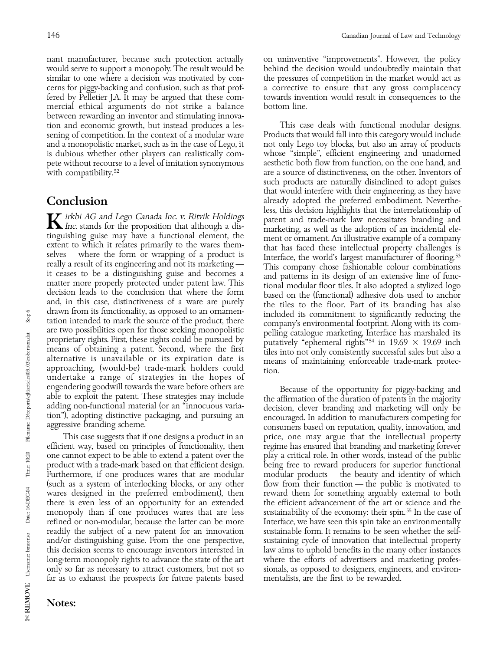nant manufacturer, because such protection actually on uninventive "improvements". However, the policy would serve to support a monopoly. The result would be behind the decision would undoubtedly maintain that would serve to support a monopoly. The result would be similar to one where a decision was motivated by con-<br>cerns for piggy-backing and confusion, such as that prof-<br>a corrective to ensure that any gross complacency cerns for piggy-backing and confusion, such as that proffered by Pelletier J.A. It may be argued that these com- towards invention would result in consequences to the mercial ethical arguments do not strike a balance bottom line. between rewarding an inventor and stimulating innovation and economic growth, but instead produces a les-<br>sening of competition. In the context of a modular ware Products that would fall into this category would include sening of competition. In the context of a modular ware Products that would fall into this category would include<br>and a monopolistic market, such as in the case of Lego, it not only Lego toy blocks, but also an array of pr and a monopolistic market, such as in the case of Lego, it not only Lego toy blocks, but also an array of products<br>is dubious whether other players can realistically com-whose "simple", efficient engineering and unadorned is dubious whether other players can realistically com-<br>
outh whose "simple", efficient engineering and unadorned<br>
pete without recourse to a level of imitation synonymous<br>
aesthetic both flow from function, on the one han pete without recourse to a level of imitation synonymous with compatibility.<sup>52</sup>

really a result of its engineering and not its marketing —<br>
it ceases to be a distinguishing guite and becomes a<br>
in the case of a vastenty protected under patent law. This<br>
matter more properly protected under patent law.

efficient way, based on principles of functionality, then regime has ensured that branding and marketing forever one cannot expect to be able to extend a patent over the play a critical role. In other words, instead of the public product with a trade-mark based on that efficient design. being free to reward producers for superior functional Furthermore, if one produces wares that are modular modular products - the beauty and identity of which (such as a system of interlocking blocks, or any other flow from their function — the public is motivated to wares designed in the preferred embodiment), then reward them for something arguably external to both there is even less of an opportunity for an extended the efficient advancement of the art or science and the there is even less of an opportunity for an extended monopoly than if one produces wares that are less sustainability of the economy: their spin.<sup>55</sup> In the case of refined or non-modular, because the latter can be more Interface, we have seen this spin take an environmentally readily the subject of a new patent for an innovation sustainable form. It remains to be seen whether the selfand/or distinguishing guise. From the one perspective, sustaining cycle of innovation that intellectual property this decision seems to encourage inventors interested in law aims to uphold benefits in the many other instances long-term monopoly rights to advance the state of the art where the efforts of advertisers and marketing prof long-term monopoly rights to advance the state of the art far as to exhaust the prospects for future patents based

are a source of distinctiveness, on the other. Inventors of such products are naturally disinclined to adopt guises that would interfere with their engineering, as they have Conclusion already adopted the preferred embodiment. Neverthe-<br>less, this decision highlights that the interrelationship of *K* irkbi AG and Lego Canada Inc. v. Ritvik Holdings<br>
Inc. stands for the proposition that although a dis-<br>
tinguishing guise may have a functional element, the<br>
extent to which it relates primarily to the wares them-<br>
sel

engendering goodwill towards the ware before others are able to exploit the patent. These strategies may include<br>adding non-functional material (or an "innocuous varia-<br>tion"), adopting distinctive packaging, and pursuing This case suggests that if one designs a product in an price, one may argue that the intellectual property only so far as necessary to attract customers, but not so sionals, as opposed to designers, engineers, and environ-<br>far as to exhaust the prospects for future patents based mentalists, are the first to be rewarded.